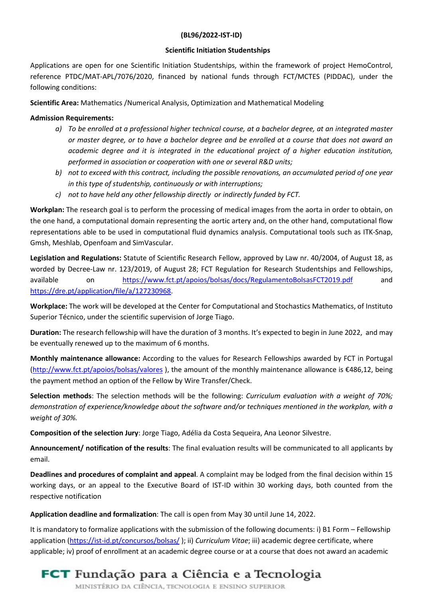## (BL96/2022-IST-ID)

## Scientific Initiation Studentships

Applications are open for one Scientific Initiation Studentships, within the framework of project HemoControl, reference PTDC/MAT-APL/7076/2020, financed by national funds through FCT/MCTES (PIDDAC), under the following conditions:

Scientific Area: Mathematics /Numerical Analysis, Optimization and Mathematical Modeling

## **Admission Requirements:**

- a) To be enrolled at a professional higher technical course, at a bachelor degree, at an integrated master or master degree, or to have a bachelor degree and be enrolled at a course that does not award an academic degree and it is integrated in the educational project of a higher education institution, performed in association or cooperation with one or several R&D units;
- b) not to exceed with this contract, including the possible renovations, an accumulated period of one year in this type of studentship, continuously or with interruptions;
- c) not to have held any other fellowship directly or indirectly funded by FCT.

Workplan: The research goal is to perform the processing of medical images from the aorta in order to obtain, on the one hand, a computational domain representing the aortic artery and, on the other hand, computational flow representations able to be used in computational fluid dynamics analysis. Computational tools such as ITK-Snap, Gmsh, Meshlab, Openfoam and SimVascular.

Legislation and Regulations: Statute of Scientific Research Fellow, approved by Law nr. 40/2004, of August 18, as worded by Decree-Law nr. 123/2019, of August 28; FCT Regulation for Research Studentships and Fellowships, available on https://www.fct.pt/apoios/bolsas/docs/RegulamentoBolsasFCT2019.pdf and https://dre.pt/application/file/a/127230968.

Workplace: The work will be developed at the Center for Computational and Stochastics Mathematics, of Instituto Superior Técnico, under the scientific supervision of Jorge Tiago.

Duration: The research fellowship will have the duration of 3 months. It's expected to begin in June 2022, and may be eventually renewed up to the maximum of 6 months.

Monthly maintenance allowance: According to the values for Research Fellowships awarded by FCT in Portugal (http://www.fct.pt/apoios/bolsas/valores ), the amount of the monthly maintenance allowance is €486,12, being the payment method an option of the Fellow by Wire Transfer/Check.

Selection methods: The selection methods will be the following: Curriculum evaluation with a weight of 70%; demonstration of experience/knowledge about the software and/or techniques mentioned in the workplan, with a weight of 30%.

Composition of the selection Jury: Jorge Tiago, Adélia da Costa Sequeira, Ana Leonor Silvestre.

Announcement/ notification of the results: The final evaluation results will be communicated to all applicants by email.

Deadlines and procedures of complaint and appeal. A complaint may be lodged from the final decision within 15 working days, or an appeal to the Executive Board of IST-ID within 30 working days, both counted from the respective notification

Application deadline and formalization: The call is open from May 30 until June 14, 2022.

It is mandatory to formalize applications with the submission of the following documents: i) B1 Form – Fellowship application (https://ist-id.pt/concursos/bolsas/); ii) Curriculum Vitae; iii) academic degree certificate, where applicable; iv) proof of enrollment at an academic degree course or at a course that does not award an academic

## **FCT** Fundação para a Ciência e a Tecnologia

MINISTÉRIO DA CIÊNCIA, TECNOLOGIA E ENSINO SUPERIOR